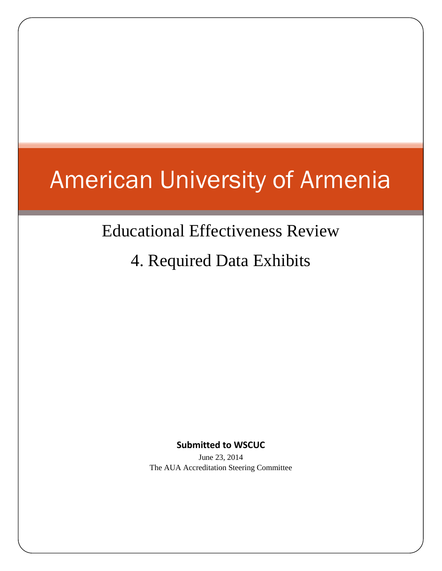# American University of Armenia

# Educational Effectiveness Review

4. Required Data Exhibits

**Submitted to WSCUC**

June 23, 2014 The AUA Accreditation Steering Committee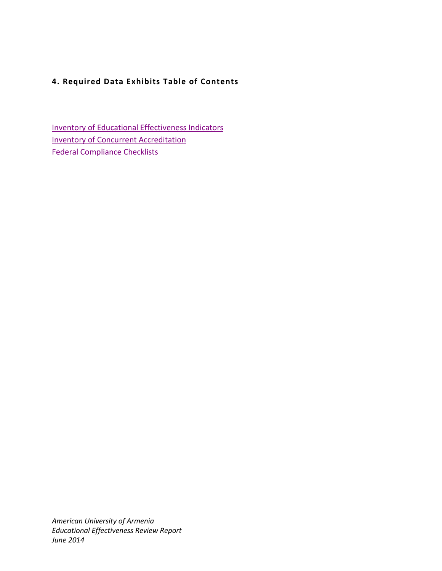# **4. Required Data Exhibits Table of Contents**

**[Inventory of Educational Effectiveness Indicators](#page-2-0)** [Inventory of Concurrent Accreditation](#page-8-0) [Federal Compliance Checklists](#page-9-0)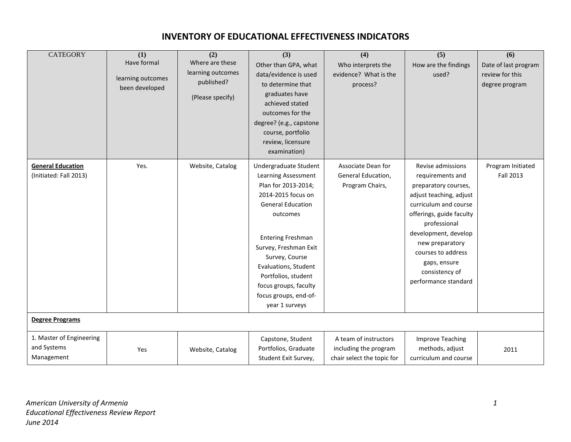<span id="page-2-0"></span>

| <b>CATEGORY</b>                                       | (1)<br>Have formal<br>learning outcomes<br>been developed | (2)<br>Where are these<br>learning outcomes<br>published?<br>(Please specify) | (3)<br>Other than GPA, what<br>data/evidence is used<br>to determine that<br>graduates have<br>achieved stated<br>outcomes for the<br>degree? (e.g., capstone<br>course, portfolio<br>review, licensure<br>examination)                                                                                                     | (4)<br>Who interprets the<br>evidence? What is the<br>process?               | (5)<br>How are the findings<br>used?                                                                                                                                                                                                                                                     | (6)<br>Date of last program<br>review for this<br>degree program |
|-------------------------------------------------------|-----------------------------------------------------------|-------------------------------------------------------------------------------|-----------------------------------------------------------------------------------------------------------------------------------------------------------------------------------------------------------------------------------------------------------------------------------------------------------------------------|------------------------------------------------------------------------------|------------------------------------------------------------------------------------------------------------------------------------------------------------------------------------------------------------------------------------------------------------------------------------------|------------------------------------------------------------------|
| <b>General Education</b><br>(Initiated: Fall 2013)    | Yes.                                                      | Website, Catalog                                                              | Undergraduate Student<br>Learning Assessment<br>Plan for 2013-2014;<br>2014-2015 focus on<br><b>General Education</b><br>outcomes<br><b>Entering Freshman</b><br>Survey, Freshman Exit<br>Survey, Course<br>Evaluations, Student<br>Portfolios, student<br>focus groups, faculty<br>focus groups, end-of-<br>year 1 surveys | Associate Dean for<br>General Education,<br>Program Chairs,                  | Revise admissions<br>requirements and<br>preparatory courses,<br>adjust teaching, adjust<br>curriculum and course<br>offerings, guide faculty<br>professional<br>development, develop<br>new preparatory<br>courses to address<br>gaps, ensure<br>consistency of<br>performance standard | Program Initiated<br><b>Fall 2013</b>                            |
| <b>Degree Programs</b>                                |                                                           |                                                                               |                                                                                                                                                                                                                                                                                                                             |                                                                              |                                                                                                                                                                                                                                                                                          |                                                                  |
| 1. Master of Engineering<br>and Systems<br>Management | Yes                                                       | Website, Catalog                                                              | Capstone, Student<br>Portfolios, Graduate<br>Student Exit Survey,                                                                                                                                                                                                                                                           | A team of instructors<br>including the program<br>chair select the topic for | Improve Teaching<br>methods, adjust<br>curriculum and course                                                                                                                                                                                                                             | 2011                                                             |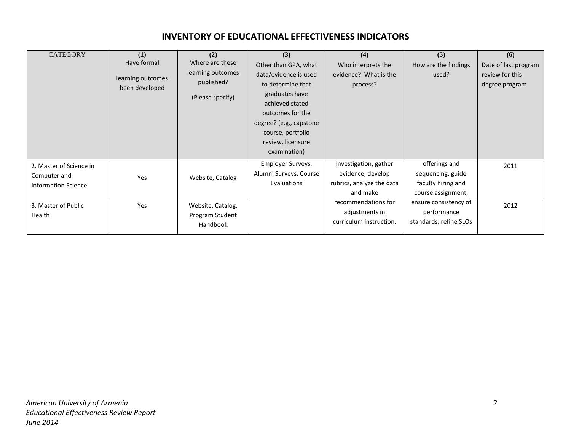| <b>CATEGORY</b>                                                       | (1)<br>Have formal<br>learning outcomes<br>been developed | (2)<br>Where are these<br>learning outcomes<br>published?<br>(Please specify) | (3)<br>Other than GPA, what<br>data/evidence is used<br>to determine that<br>graduates have<br>achieved stated<br>outcomes for the<br>degree? (e.g., capstone<br>course, portfolio<br>review, licensure<br>examination) | (4)<br>Who interprets the<br>evidence? What is the<br>process?                      | (5)<br>How are the findings<br>used?                                           | (6)<br>Date of last program<br>review for this<br>degree program |
|-----------------------------------------------------------------------|-----------------------------------------------------------|-------------------------------------------------------------------------------|-------------------------------------------------------------------------------------------------------------------------------------------------------------------------------------------------------------------------|-------------------------------------------------------------------------------------|--------------------------------------------------------------------------------|------------------------------------------------------------------|
| 2. Master of Science in<br>Computer and<br><b>Information Science</b> | Yes                                                       | Website, Catalog                                                              | Employer Surveys,<br>Alumni Surveys, Course<br>Evaluations                                                                                                                                                              | investigation, gather<br>evidence, develop<br>rubrics, analyze the data<br>and make | offerings and<br>sequencing, guide<br>faculty hiring and<br>course assignment, | 2011                                                             |
| 3. Master of Public<br>Health                                         | Yes                                                       | Website, Catalog,<br>Program Student<br>Handbook                              |                                                                                                                                                                                                                         | recommendations for<br>adjustments in<br>curriculum instruction.                    | ensure consistency of<br>performance<br>standards, refine SLOs                 | 2012                                                             |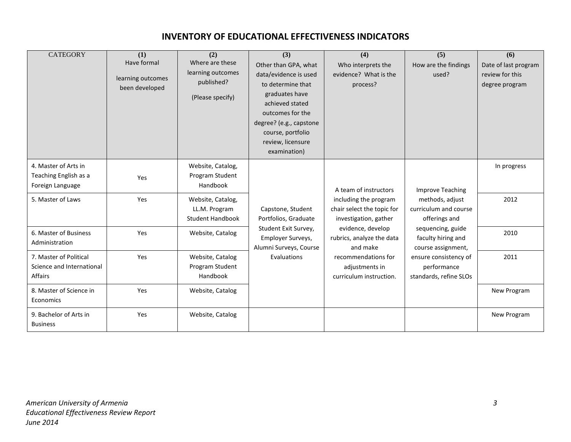| <b>CATEGORY</b>                                                       | (1)<br>Have formal<br>learning outcomes<br>been developed | (2)<br>Where are these<br>learning outcomes<br>published?<br>(Please specify) | (3)<br>Other than GPA, what<br>data/evidence is used<br>to determine that<br>graduates have<br>achieved stated<br>outcomes for the<br>degree? (e.g., capstone<br>course, portfolio<br>review, licensure<br>examination) | (4)<br>Who interprets the<br>evidence? What is the<br>process?               | (5)<br>How are the findings<br>used?                           | (6)<br>Date of last program<br>review for this<br>degree program |
|-----------------------------------------------------------------------|-----------------------------------------------------------|-------------------------------------------------------------------------------|-------------------------------------------------------------------------------------------------------------------------------------------------------------------------------------------------------------------------|------------------------------------------------------------------------------|----------------------------------------------------------------|------------------------------------------------------------------|
| 4. Master of Arts in<br>Teaching English as a<br>Foreign Language     | Yes                                                       | Website, Catalog,<br>Program Student<br>Handbook                              |                                                                                                                                                                                                                         | A team of instructors                                                        | <b>Improve Teaching</b>                                        | In progress                                                      |
| 5. Master of Laws                                                     | Yes                                                       | Website, Catalog,<br>LL.M. Program<br><b>Student Handbook</b>                 | Capstone, Student<br>Portfolios, Graduate                                                                                                                                                                               | including the program<br>chair select the topic for<br>investigation, gather | methods, adjust<br>curriculum and course<br>offerings and      | 2012                                                             |
| 6. Master of Business<br>Administration                               | Yes                                                       | Website, Catalog                                                              | Student Exit Survey,<br>Employer Surveys,<br>Alumni Surveys, Course                                                                                                                                                     | evidence, develop<br>rubrics, analyze the data<br>and make                   | sequencing, guide<br>faculty hiring and<br>course assignment,  | 2010                                                             |
| 7. Master of Political<br>Science and International<br><b>Affairs</b> | Yes                                                       | Website, Catalog<br>Program Student<br>Handbook                               | Evaluations                                                                                                                                                                                                             | recommendations for<br>adjustments in<br>curriculum instruction.             | ensure consistency of<br>performance<br>standards, refine SLOs | 2011                                                             |
| 8. Master of Science in<br>Economics                                  | Yes                                                       | Website, Catalog                                                              |                                                                                                                                                                                                                         |                                                                              |                                                                | New Program                                                      |
| 9. Bachelor of Arts in<br><b>Business</b>                             | Yes                                                       | Website, Catalog                                                              |                                                                                                                                                                                                                         |                                                                              |                                                                | New Program                                                      |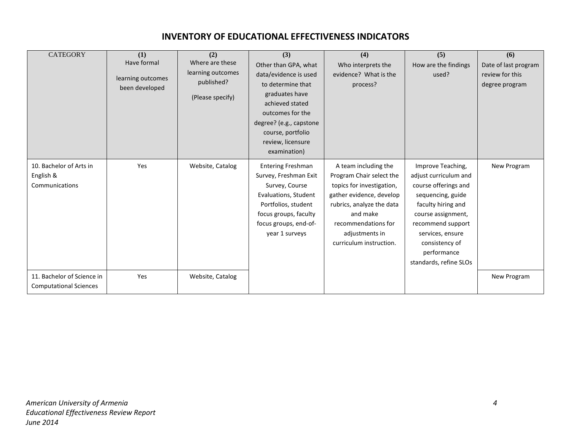| <b>CATEGORY</b>                                             | (1)<br>Have formal<br>learning outcomes<br>been developed | (2)<br>Where are these<br>learning outcomes<br>published?<br>(Please specify) | (3)<br>Other than GPA, what<br>data/evidence is used<br>to determine that<br>graduates have<br>achieved stated<br>outcomes for the<br>degree? (e.g., capstone<br>course, portfolio<br>review, licensure<br>examination) | (4)<br>Who interprets the<br>evidence? What is the<br>process?                                                                                                                                                         | (5)<br>How are the findings<br>used?                                                                                                                                                                                                    | (6)<br>Date of last program<br>review for this<br>degree program |
|-------------------------------------------------------------|-----------------------------------------------------------|-------------------------------------------------------------------------------|-------------------------------------------------------------------------------------------------------------------------------------------------------------------------------------------------------------------------|------------------------------------------------------------------------------------------------------------------------------------------------------------------------------------------------------------------------|-----------------------------------------------------------------------------------------------------------------------------------------------------------------------------------------------------------------------------------------|------------------------------------------------------------------|
| 10. Bachelor of Arts in<br>English &<br>Communications      | Yes                                                       | Website, Catalog                                                              | <b>Entering Freshman</b><br>Survey, Freshman Exit<br>Survey, Course<br>Evaluations, Student<br>Portfolios, student<br>focus groups, faculty<br>focus groups, end-of-<br>year 1 surveys                                  | A team including the<br>Program Chair select the<br>topics for investigation,<br>gather evidence, develop<br>rubrics, analyze the data<br>and make<br>recommendations for<br>adjustments in<br>curriculum instruction. | Improve Teaching,<br>adjust curriculum and<br>course offerings and<br>sequencing, guide<br>faculty hiring and<br>course assignment,<br>recommend support<br>services, ensure<br>consistency of<br>performance<br>standards, refine SLOs | New Program                                                      |
| 11. Bachelor of Science in<br><b>Computational Sciences</b> | Yes                                                       | Website, Catalog                                                              |                                                                                                                                                                                                                         |                                                                                                                                                                                                                        |                                                                                                                                                                                                                                         | New Program                                                      |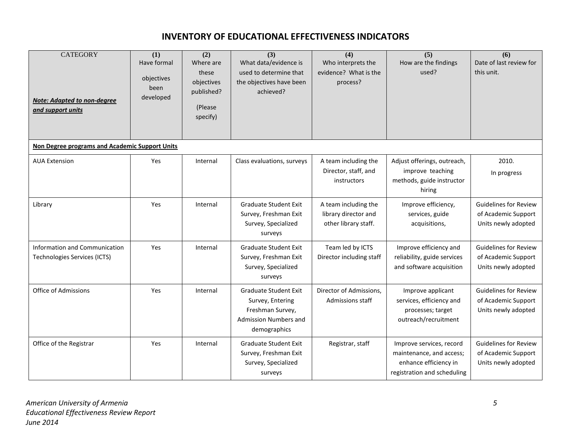| <b>CATEGORY</b><br><b>Note: Adapted to non-degree</b><br>and support units | (1)<br>Have formal<br>objectives<br>been<br>developed | (2)<br>Where are<br>these<br>objectives<br>published?<br>(Please<br>specify) | (3)<br>What data/evidence is<br>used to determine that<br>the objectives have been<br>achieved?               | (4)<br>Who interprets the<br>evidence? What is the<br>process?       | (5)<br>How are the findings<br>used?                                                                         | (6)<br>Date of last review for<br>this unit.                               |
|----------------------------------------------------------------------------|-------------------------------------------------------|------------------------------------------------------------------------------|---------------------------------------------------------------------------------------------------------------|----------------------------------------------------------------------|--------------------------------------------------------------------------------------------------------------|----------------------------------------------------------------------------|
| Non Degree programs and Academic Support Units                             |                                                       |                                                                              |                                                                                                               |                                                                      |                                                                                                              |                                                                            |
| <b>AUA Extension</b>                                                       | Yes                                                   | Internal                                                                     | Class evaluations, surveys                                                                                    | A team including the<br>Director, staff, and<br>instructors          | Adjust offerings, outreach,<br>improve teaching<br>methods, guide instructor<br>hiring                       | 2010.<br>In progress                                                       |
| Library                                                                    | Yes                                                   | Internal                                                                     | <b>Graduate Student Exit</b><br>Survey, Freshman Exit<br>Survey, Specialized<br>surveys                       | A team including the<br>library director and<br>other library staff. | Improve efficiency,<br>services, guide<br>acquisitions,                                                      | <b>Guidelines for Review</b><br>of Academic Support<br>Units newly adopted |
| Information and Communication<br><b>Technologies Services (ICTS)</b>       | Yes                                                   | Internal                                                                     | <b>Graduate Student Exit</b><br>Survey, Freshman Exit<br>Survey, Specialized<br>surveys                       | Team led by ICTS<br>Director including staff                         | Improve efficiency and<br>reliability, guide services<br>and software acquisition                            | <b>Guidelines for Review</b><br>of Academic Support<br>Units newly adopted |
| <b>Office of Admissions</b>                                                | Yes                                                   | Internal                                                                     | <b>Graduate Student Exit</b><br>Survey, Entering<br>Freshman Survey,<br>Admission Numbers and<br>demographics | Director of Admissions,<br>Admissions staff                          | Improve applicant<br>services, efficiency and<br>processes; target<br>outreach/recruitment                   | <b>Guidelines for Review</b><br>of Academic Support<br>Units newly adopted |
| Office of the Registrar                                                    | Yes                                                   | Internal                                                                     | <b>Graduate Student Exit</b><br>Survey, Freshman Exit<br>Survey, Specialized<br>surveys                       | Registrar, staff                                                     | Improve services, record<br>maintenance, and access;<br>enhance efficiency in<br>registration and scheduling | <b>Guidelines for Review</b><br>of Academic Support<br>Units newly adopted |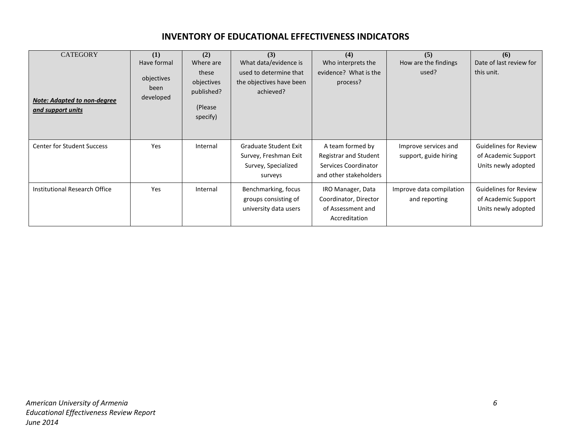| <b>CATEGORY</b><br><b>Note: Adapted to non-degree</b><br>and support units | (1)<br>Have formal<br>objectives<br>been<br>developed | (2)<br>Where are<br>these<br>objectives<br>published?<br>(Please<br>specify) | (3)<br>What data/evidence is<br>used to determine that<br>the objectives have been<br>achieved? | (4)<br>Who interprets the<br>evidence? What is the<br>process?                              | (5)<br>How are the findings<br>used?          | (6)<br>Date of last review for<br>this unit.                               |
|----------------------------------------------------------------------------|-------------------------------------------------------|------------------------------------------------------------------------------|-------------------------------------------------------------------------------------------------|---------------------------------------------------------------------------------------------|-----------------------------------------------|----------------------------------------------------------------------------|
| <b>Center for Student Success</b>                                          | Yes                                                   | Internal                                                                     | Graduate Student Exit<br>Survey, Freshman Exit<br>Survey, Specialized<br>surveys                | A team formed by<br>Registrar and Student<br>Services Coordinator<br>and other stakeholders | Improve services and<br>support, guide hiring | <b>Guidelines for Review</b><br>of Academic Support<br>Units newly adopted |
| Institutional Research Office                                              | Yes                                                   | Internal                                                                     | Benchmarking, focus<br>groups consisting of<br>university data users                            | IRO Manager, Data<br>Coordinator, Director<br>of Assessment and<br>Accreditation            | Improve data compilation<br>and reporting     | <b>Guidelines for Review</b><br>of Academic Support<br>Units newly adopted |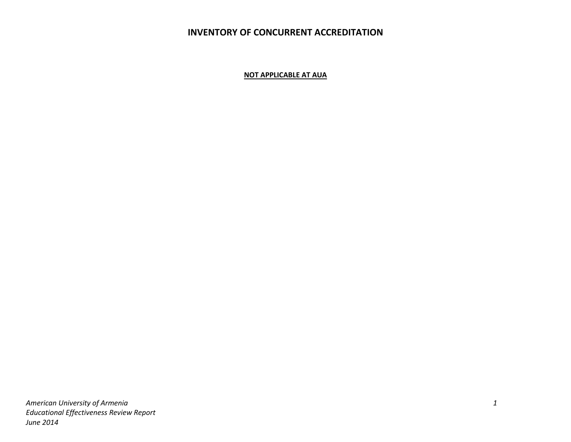# **INVENTORY OF CONCURRENT ACCREDITATION**

**NOT APPLICABLE AT AUA**

<span id="page-8-0"></span>*American University of Armenia 1 Educational Effectiveness Review Report June 2014*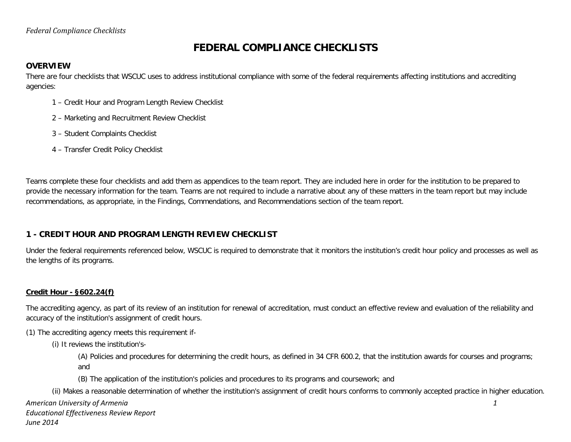# **FEDERAL COMPLIANCE CHECKLISTS**

#### **OVERVIEW**

There are four checklists that WSCUC uses to address institutional compliance with some of the federal requirements affecting institutions and accrediting agencies:

- 1 Credit Hour and Program Length Review Checklist
- 2 Marketing and Recruitment Review Checklist
- 3 Student Complaints Checklist
- 4 Transfer Credit Policy Checklist

<span id="page-9-0"></span>Teams complete these four checklists and add them as appendices to the team report. They are included here in order for the institution to be prepared to provide the necessary information for the team. Teams are not required to include a narrative about any of these matters in the team report but may include recommendations, as appropriate, in the Findings, Commendations, and Recommendations section of the team report.

#### **1 - CREDIT HOUR AND PROGRAM LENGTH REVIEW CHECKLIST**

Under the federal requirements referenced below, WSCUC is required to demonstrate that it monitors the institution's credit hour policy and processes as well as the lengths of its programs.

#### **Credit Hour - §602.24(f)**

The accrediting agency, as part of its review of an institution for renewal of accreditation, must conduct an effective review and evaluation of the reliability and accuracy of the institution's assignment of credit hours.

(1) The accrediting agency meets this requirement if-

(i) It reviews the institution's-

(A) Policies and procedures for determining the credit hours, as defined in 34 CFR 600.2, that the institution awards for courses and programs; and

(B) The application of the institution's policies and procedures to its programs and coursework; and

(ii) Makes a reasonable determination of whether the institution's assignment of credit hours conforms to commonly accepted practice in higher education.

*American University of Armenia 1*

*June 2014*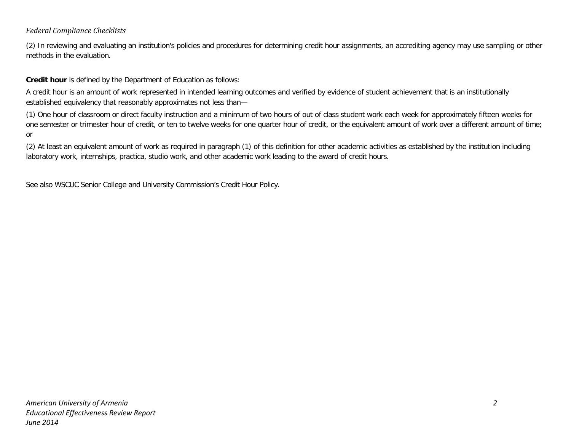#### *Federal Compliance Checklists*

(2) In reviewing and evaluating an institution's policies and procedures for determining credit hour assignments, an accrediting agency may use sampling or other methods in the evaluation.

**Credit hour** is defined by the Department of Education as follows:

A credit hour is an amount of work represented in intended learning outcomes and verified by evidence of student achievement that is an institutionally established equivalency that reasonably approximates not less than—

(1) One hour of classroom or direct faculty instruction and a minimum of two hours of out of class student work each week for approximately fifteen weeks for one semester or trimester hour of credit, or ten to twelve weeks for one quarter hour of credit, or the equivalent amount of work over a different amount of time; or

(2) At least an equivalent amount of work as required in paragraph (1) of this definition for other academic activities as established by the institution including laboratory work, internships, practica, studio work, and other academic work leading to the award of credit hours.

See also WSCUC Senior College and University Commission's Credit Hour Policy.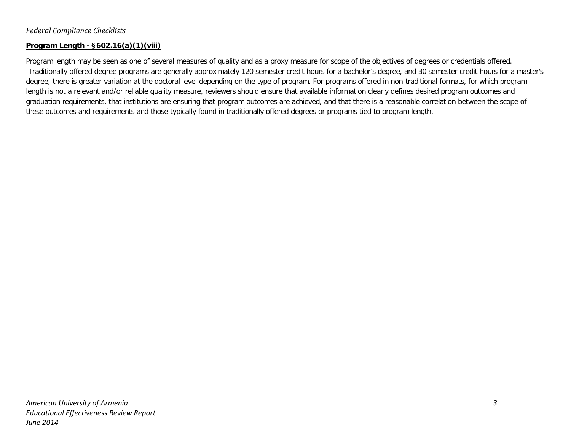#### **Program Length - §602.16(a)(1)(viii)**

Program length may be seen as one of several measures of quality and as a proxy measure for scope of the objectives of degrees or credentials offered. Traditionally offered degree programs are generally approximately 120 semester credit hours for a bachelor's degree, and 30 semester credit hours for a master's degree; there is greater variation at the doctoral level depending on the type of program. For programs offered in non-traditional formats, for which program length is not a relevant and/or reliable quality measure, reviewers should ensure that available information clearly defines desired program outcomes and graduation requirements, that institutions are ensuring that program outcomes are achieved, and that there is a reasonable correlation between the scope of these outcomes and requirements and those typically found in traditionally offered degrees or programs tied to program length.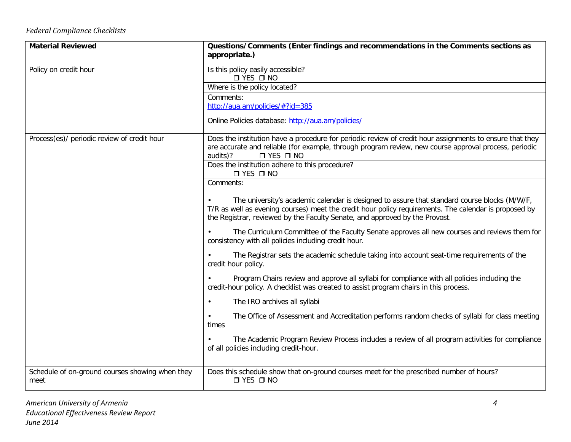# *Federal Compliance Checklists*

| <b>Material Reviewed</b>                                | Questions/Comments (Enter findings and recommendations in the Comments sections as<br>appropriate.)                                                                                   |
|---------------------------------------------------------|---------------------------------------------------------------------------------------------------------------------------------------------------------------------------------------|
| Policy on credit hour                                   | Is this policy easily accessible?<br>$\Box$ YES $\Box$ NO                                                                                                                             |
|                                                         | Where is the policy located?                                                                                                                                                          |
|                                                         | Comments:                                                                                                                                                                             |
|                                                         | http://aua.am/policies/#?id=385                                                                                                                                                       |
|                                                         | Online Policies database: http://aua.am/policies/                                                                                                                                     |
| Process(es)/ periodic review of credit hour             | Does the institution have a procedure for periodic review of credit hour assignments to ensure that they                                                                              |
|                                                         | are accurate and reliable (for example, through program review, new course approval process, periodic<br>audits)?<br>$\Box$ YES $\Box$ NO                                             |
|                                                         | Does the institution adhere to this procedure?<br>$\Box$ YES $\Box$ NO                                                                                                                |
|                                                         | Comments:                                                                                                                                                                             |
|                                                         | The university's academic calendar is designed to assure that standard course blocks (M/W/F,                                                                                          |
|                                                         | T/R as well as evening courses) meet the credit hour policy requirements. The calendar is proposed by<br>the Registrar, reviewed by the Faculty Senate, and approved by the Provost.  |
|                                                         | The Curriculum Committee of the Faculty Senate approves all new courses and reviews them for<br>consistency with all policies including credit hour.                                  |
|                                                         | The Registrar sets the academic schedule taking into account seat-time requirements of the<br>credit hour policy.                                                                     |
|                                                         | Program Chairs review and approve all syllabi for compliance with all policies including the<br>credit-hour policy. A checklist was created to assist program chairs in this process. |
|                                                         | The IRO archives all syllabi<br>$\bullet$                                                                                                                                             |
|                                                         | The Office of Assessment and Accreditation performs random checks of syllabi for class meeting<br>times                                                                               |
|                                                         | The Academic Program Review Process includes a review of all program activities for compliance<br>of all policies including credit-hour.                                              |
| Schedule of on-ground courses showing when they<br>meet | Does this schedule show that on-ground courses meet for the prescribed number of hours?<br>$\Box$ YES $\Box$ NO                                                                       |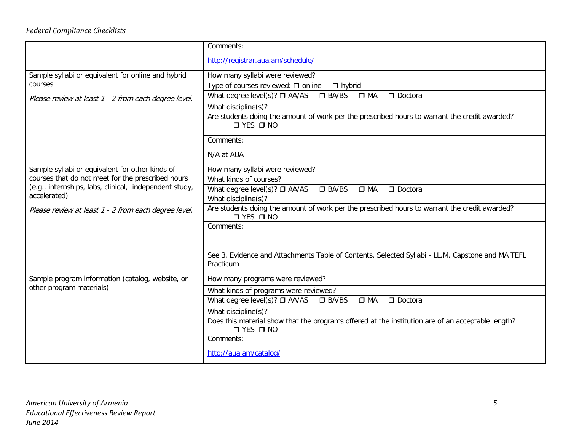|                                                                                                                                                                                | Comments:                                                                                                                 |  |  |
|--------------------------------------------------------------------------------------------------------------------------------------------------------------------------------|---------------------------------------------------------------------------------------------------------------------------|--|--|
|                                                                                                                                                                                | http://registrar.aua.am/schedule/                                                                                         |  |  |
| Sample syllabi or equivalent for online and hybrid                                                                                                                             | How many syllabi were reviewed?                                                                                           |  |  |
| courses                                                                                                                                                                        | Type of courses reviewed: $\Box$ online<br>$\Box$ hybrid                                                                  |  |  |
| Please review at least 1 - 2 from each degree level.                                                                                                                           | What degree level(s)? $\Box$ AA/AS<br>$\Box$ BA/BS<br>$\Box$ MA<br>Doctoral                                               |  |  |
|                                                                                                                                                                                | What discipline(s)?                                                                                                       |  |  |
|                                                                                                                                                                                | Are students doing the amount of work per the prescribed hours to warrant the credit awarded?<br>$\Box$ YES $\Box$ NO     |  |  |
|                                                                                                                                                                                | Comments:                                                                                                                 |  |  |
|                                                                                                                                                                                | N/A at AUA                                                                                                                |  |  |
| Sample syllabi or equivalent for other kinds of<br>courses that do not meet for the prescribed hours<br>(e.g., internships, labs, clinical, independent study,<br>accelerated) | How many syllabi were reviewed?                                                                                           |  |  |
|                                                                                                                                                                                | What kinds of courses?                                                                                                    |  |  |
|                                                                                                                                                                                | What degree level(s)? $\square$ AA/AS<br>$\square$ BA/BS<br>Doctoral<br>$\Box$ MA                                         |  |  |
|                                                                                                                                                                                | What discipline(s)?                                                                                                       |  |  |
| Please review at least 1 - 2 from each degree level.                                                                                                                           | Are students doing the amount of work per the prescribed hours to warrant the credit awarded?<br>$\Box$ YES $\Box$ NO     |  |  |
|                                                                                                                                                                                | Comments:                                                                                                                 |  |  |
|                                                                                                                                                                                |                                                                                                                           |  |  |
|                                                                                                                                                                                | See 3. Evidence and Attachments Table of Contents, Selected Syllabi - LL.M. Capstone and MA TEFL<br>Practicum             |  |  |
| Sample program information (catalog, website, or                                                                                                                               | How many programs were reviewed?                                                                                          |  |  |
| other program materials)                                                                                                                                                       | What kinds of programs were reviewed?                                                                                     |  |  |
|                                                                                                                                                                                | What degree level(s)? $\Box$ AA/AS<br>$\square$ BA/BS<br>$\Box$ MA<br>Doctoral                                            |  |  |
|                                                                                                                                                                                | What discipline(s)?                                                                                                       |  |  |
|                                                                                                                                                                                | Does this material show that the programs offered at the institution are of an acceptable length?<br>$\Box$ YES $\Box$ NO |  |  |
|                                                                                                                                                                                | Comments:                                                                                                                 |  |  |
|                                                                                                                                                                                | http://aua.am/catalog/                                                                                                    |  |  |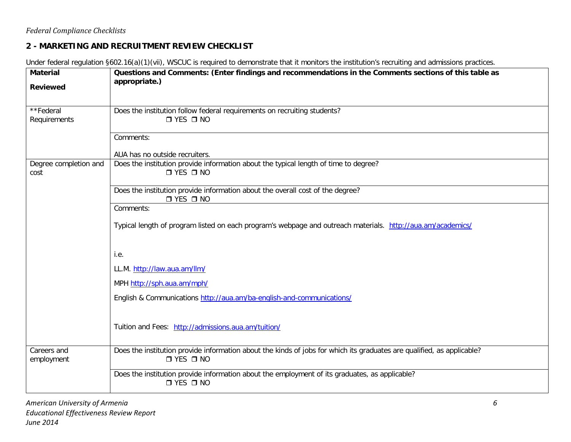# **2 - MARKETING AND RECRUITMENT REVIEW CHECKLIST**

Under federal regulation §602.16(a)(1)(vii), WSCUC is required to demonstrate that it monitors the institution's recruiting and admissions practices.

| <b>Material</b><br><b>Reviewed</b> | Questions and Comments: (Enter findings and recommendations in the Comments sections of this table as<br>appropriate.)                         |
|------------------------------------|------------------------------------------------------------------------------------------------------------------------------------------------|
| **Federal<br>Requirements          | Does the institution follow federal requirements on recruiting students?<br>$\Box$ YES $\Box$ NO                                               |
|                                    | Comments:<br>AUA has no outside recruiters.                                                                                                    |
| Degree completion and<br>cost      | Does the institution provide information about the typical length of time to degree?<br>$\Box$ YES $\Box$ NO                                   |
|                                    | Does the institution provide information about the overall cost of the degree?<br>$\square$ YES $\square$ NO                                   |
|                                    | Comments:                                                                                                                                      |
|                                    | Typical length of program listed on each program's webpage and outreach materials. http://aua.am/academics/                                    |
|                                    | i.e.                                                                                                                                           |
|                                    | LL.M. http://law.aua.am/llm/                                                                                                                   |
|                                    | MPH http://sph.aua.am/mph/                                                                                                                     |
|                                    | English & Communications http://aua.am/ba-english-and-communications/                                                                          |
|                                    | Tuition and Fees: http://admissions.aua.am/tuition/                                                                                            |
| Careers and<br>employment          | Does the institution provide information about the kinds of jobs for which its graduates are qualified, as applicable?<br>$\Box$ YES $\Box$ NO |
|                                    | Does the institution provide information about the employment of its graduates, as applicable?<br>$\Box$ YES $\Box$ NO                         |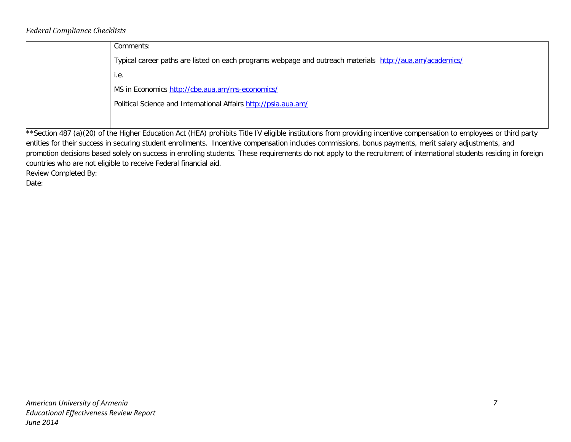#### *Federal Compliance Checklists*

| Comments:                                                                                                                                                              |
|------------------------------------------------------------------------------------------------------------------------------------------------------------------------|
| Typical career paths are listed on each programs webpage and outreach materials http://aua.am/academics/                                                               |
| i.e.                                                                                                                                                                   |
| MS in Economics http://cbe.aua.am/ms-economics/                                                                                                                        |
| Political Science and International Affairs http://psia.aua.am/                                                                                                        |
|                                                                                                                                                                        |
| $**c$ otion $107$ (0)/20) of the Uirher Education Act (UEA) probibite Title IV cliently institutions from providing incontius componentian to employees or third portu |

\*\*Section 487 (a)(20) of the Higher Education Act (HEA) prohibits Title IV eligible institutions from providing incentive compensation to employees or third party entities for their success in securing student enrollments. Incentive compensation includes commissions, bonus payments, merit salary adjustments, and promotion decisions based solely on success in enrolling students. These requirements do not apply to the recruitment of international students residing in foreign countries who are not eligible to receive Federal financial aid.

Review Completed By:

Date: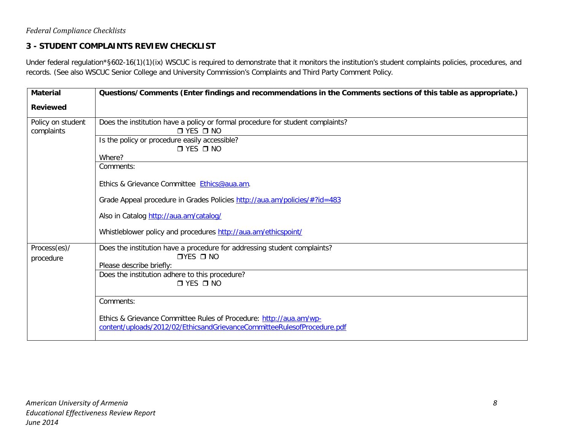# **3 - STUDENT COMPLAINTS REVIEW CHECKLIST**

Under federal regulation\*§602-16(1)(1)(ix) WSCUC is required to demonstrate that it monitors the institution's student complaints policies, procedures, and records. (See also WSCUC Senior College and University Commission's Complaints and Third Party Comment Policy.

| <b>Material</b>                 | Questions/Comments (Enter findings and recommendations in the Comments sections of this table as appropriate.)                                |
|---------------------------------|-----------------------------------------------------------------------------------------------------------------------------------------------|
| <b>Reviewed</b>                 |                                                                                                                                               |
| Policy on student<br>complaints | Does the institution have a policy or formal procedure for student complaints?<br>$\Box$ YES $\Box$ NO                                        |
|                                 | Is the policy or procedure easily accessible?<br>$\Box$ YES $\Box$ NO                                                                         |
|                                 | Where?                                                                                                                                        |
|                                 | Comments:                                                                                                                                     |
|                                 | Ethics & Grievance Committee Ethics@aua.am.                                                                                                   |
|                                 | Grade Appeal procedure in Grades Policies http://aua.am/policies/#?id=483                                                                     |
|                                 | Also in Catalog http://aua.am/catalog/                                                                                                        |
|                                 | Whistleblower policy and procedures http://aua.am/ethicspoint/                                                                                |
| Process(es)/                    | Does the institution have a procedure for addressing student complaints?<br>$TYES$ $TNO$                                                      |
| procedure                       | Please describe briefly:                                                                                                                      |
|                                 | Does the institution adhere to this procedure?                                                                                                |
|                                 | $\Box$ YES $\Box$ NO                                                                                                                          |
|                                 | Comments:                                                                                                                                     |
|                                 | Ethics & Grievance Committee Rules of Procedure: http://aua.am/wp-<br>content/uploads/2012/02/EthicsandGrievanceCommitteeRulesofProcedure.pdf |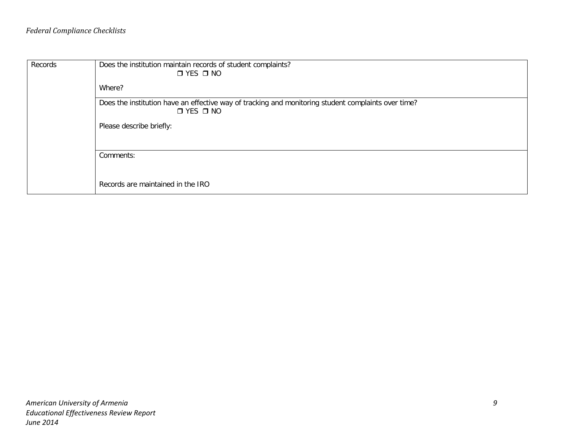| Records | Does the institution maintain records of student complaints?<br>$\Box$ YES $\Box$ NO<br>Where?      |
|---------|-----------------------------------------------------------------------------------------------------|
|         | Does the institution have an effective way of tracking and monitoring student complaints over time? |
|         | $\Box$ YES $\Box$ NO                                                                                |
|         | Please describe briefly:                                                                            |
|         | Comments:                                                                                           |
|         | Records are maintained in the IRO                                                                   |